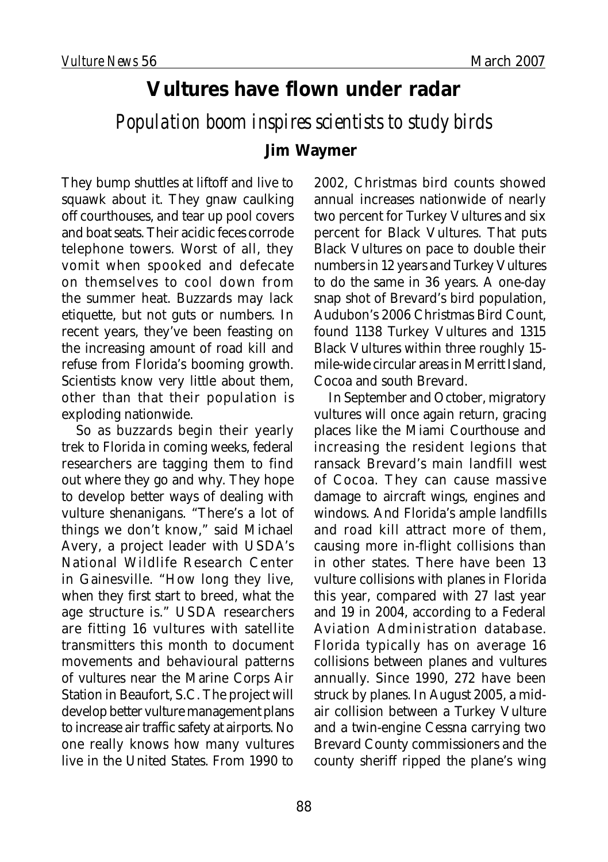## *Vultures have flown under radar Population boom inspires scientists to study birds Jim Waymer*

They bump shuttles at liftoff and live to squawk about it. They gnaw caulking off courthouses, and tear up pool covers and boat seats. Their acidic feces corrode telephone towers. Worst of all, they vomit when spooked and defecate on themselves to cool down from the summer heat. Buzzards may lack etiquette, but not guts or numbers. In recent years, they've been feasting on the increasing amount of road kill and refuse from Florida's booming growth. Scientists know very little about them, other than that their population is exploding nationwide.

So as buzzards begin their yearly trek to Florida in coming weeks, federal researchers are tagging them to find out where they go and why. They hope to develop better ways of dealing with vulture shenanigans. "There's a lot of things we don't know," said Michael Avery, a project leader with USDA's National Wildlife Research Center in Gainesville. "How long they live, when they first start to breed, what the age structure is." USDA researchers are fitting 16 vultures with satellite transmitters this month to document movements and behavioural patterns of vultures near the Marine Corps Air Station in Beaufort, S.C. The project will develop better vulture management plans to increase air traffic safety at airports. No one really knows how many vultures live in the United States. From 1990 to 2002, Christmas bird counts showed annual increases nationwide of nearly two percent for Turkey Vultures and six percent for Black Vultures. That puts Black Vultures on pace to double their numbers in 12 years and Turkey Vultures to do the same in 36 years. A one-day snap shot of Brevard's bird population, Audubon's 2006 Christmas Bird Count, found 1138 Turkey Vultures and 1315 Black Vultures within three roughly 15 mile-wide circular areas in Merritt Island, Cocoa and south Brevard.

In September and October, migratory vultures will once again return, gracing places like the Miami Courthouse and increasing the resident legions that ransack Brevard's main landfill west of Cocoa. They can cause massive damage to aircraft wings, engines and windows. And Florida's ample landfills and road kill attract more of them, causing more in-flight collisions than in other states. There have been 13 vulture collisions with planes in Florida this year, compared with 27 last year and 19 in 2004, according to a Federal Aviation Administration database. Florida typically has on average 16 collisions between planes and vultures annually. Since 1990, 272 have been struck by planes. In August 2005, a midair collision between a Turkey Vulture and a twin-engine Cessna carrying two Brevard County commissioners and the county sheriff ripped the plane's wing